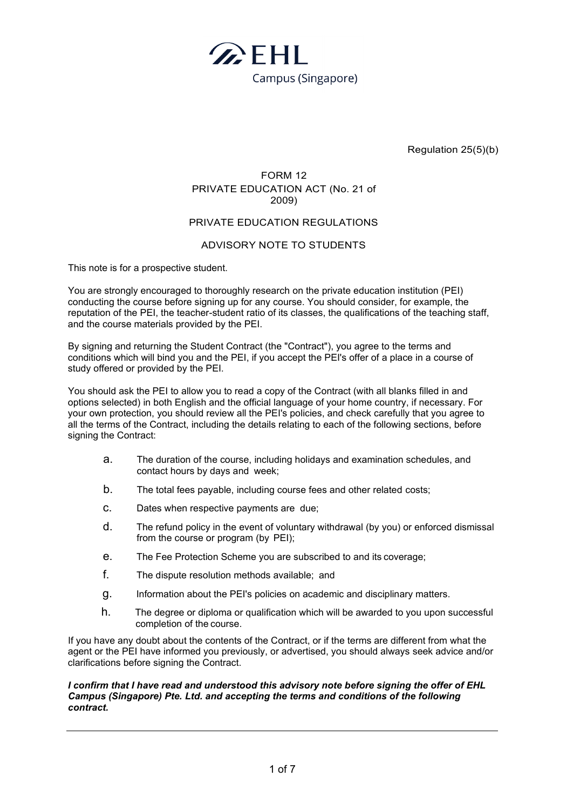

Regulation 25(5)(b)

## FORM 12 PRIVATE EDUCATION ACT (No. 21 of 2009)

#### PRIVATE EDUCATION REGULATIONS

#### ADVISORY NOTE TO STUDENTS

This note is for a prospective student.

You are strongly encouraged to thoroughly research on the private education institution (PEI) conducting the course before signing up for any course. You should consider, for example, the reputation of the PEI, the teacher-student ratio of its classes, the qualifications of the teaching staff, and the course materials provided by the PEI.

By signing and returning the Student Contract (the "Contract"), you agree to the terms and conditions which will bind you and the PEI, if you accept the PEI's offer of a place in a course of study offered or provided by the PEI.

You should ask the PEI to allow you to read a copy of the Contract (with all blanks filled in and options selected) in both English and the official language of your home country, if necessary. For your own protection, you should review all the PEI's policies, and check carefully that you agree to all the terms of the Contract, including the details relating to each of the following sections, before signing the Contract:

- a. The duration of the course, including holidays and examination schedules, and contact hours by days and week;
- b. The total fees payable, including course fees and other related costs;
- c. Dates when respective payments are due;
- d. The refund policy in the event of voluntary withdrawal (by you) or enforced dismissal from the course or program (by PEI);
- e. The Fee Protection Scheme you are subscribed to and its coverage;
- f. The dispute resolution methods available; and
- g. Information about the PEI's policies on academic and disciplinary matters.
- h. The degree or diploma or qualification which will be awarded to you upon successful completion of the course.

If you have any doubt about the contents of the Contract, or if the terms are different from what the agent or the PEI have informed you previously, or advertised, you should always seek advice and/or clarifications before signing the Contract.

#### *I confirm that I have read and understood this advisory note before signing the offer of EHL Campus (Singapore) Pte. Ltd. and accepting the terms and conditions of the following contract.*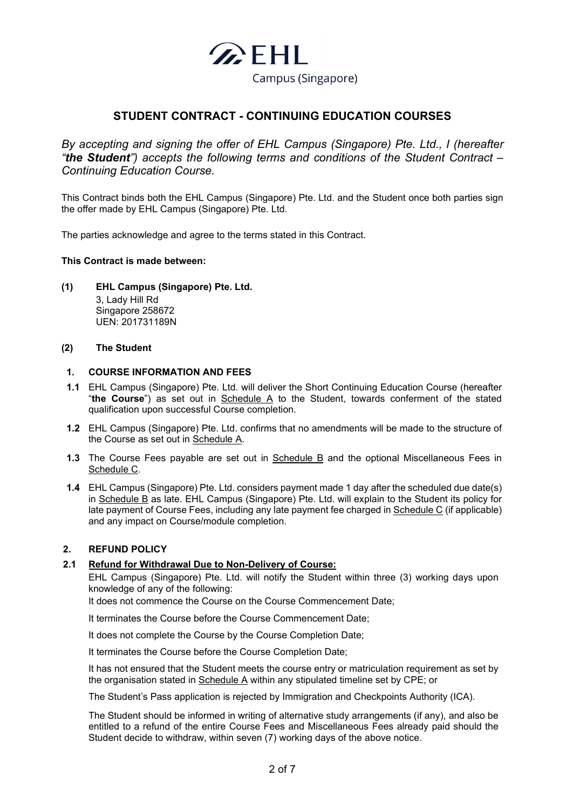

# **STUDENT CONTRACT - CONTINUING EDUCATION COURSES**

*By accepting and signing the offer of EHL Campus (Singapore) Pte. Ltd., I (hereafter "the Student") accepts the following terms and conditions of the Student Contract – Continuing Education Course.*

This Contract binds both the EHL Campus (Singapore) Pte. Ltd. and the Student once both parties sign the offer made by EHL Campus (Singapore) Pte. Ltd.

The parties acknowledge and agree to the terms stated in this Contract.

#### **This Contract is made between:**

**(1) EHL Campus (Singapore) Pte. Ltd.** 3, Lady Hill Rd Singapore 258672 UEN: 201731189N

#### **(2) The Student**

#### **1. COURSE INFORMATION AND FEES**

- **1.1** EHL Campus (Singapore) Pte. Ltd. will deliver the Short Continuing Education Course (hereafter "**the Course**") as set out in Schedule A to the Student, towards conferment of the stated qualification upon successful Course completion.
- **1.2** EHL Campus (Singapore) Pte. Ltd. confirms that no amendments will be made to the structure of the Course as set out in Schedule A.
- **1.3** The Course Fees payable are set out in Schedule B and the optional Miscellaneous Fees in Schedule C.
- **1.4** EHL Campus (Singapore) Pte. Ltd. considers payment made 1 day after the scheduled due date(s) in Schedule B as late. EHL Campus (Singapore) Pte. Ltd. will explain to the Student its policy for late payment of Course Fees, including any late payment fee charged in Schedule C (if applicable) and any impact on Course/module completion.

#### **2. REFUND POLICY**

#### **2.1 Refund for Withdrawal Due to Non-Delivery of Course:**

EHL Campus (Singapore) Pte. Ltd. will notify the Student within three (3) working days upon knowledge of any of the following:

It does not commence the Course on the Course Commencement Date;

It terminates the Course before the Course Commencement Date;

It does not complete the Course by the Course Completion Date;

It terminates the Course before the Course Completion Date;

It has not ensured that the Student meets the course entry or matriculation requirement as set by the organisation stated in Schedule A within any stipulated timeline set by CPE; or

The Student's Pass application is rejected by Immigration and Checkpoints Authority (ICA).

The Student should be informed in writing of alternative study arrangements (if any), and also be entitled to a refund of the entire Course Fees and Miscellaneous Fees already paid should the Student decide to withdraw, within seven (7) working days of the above notice.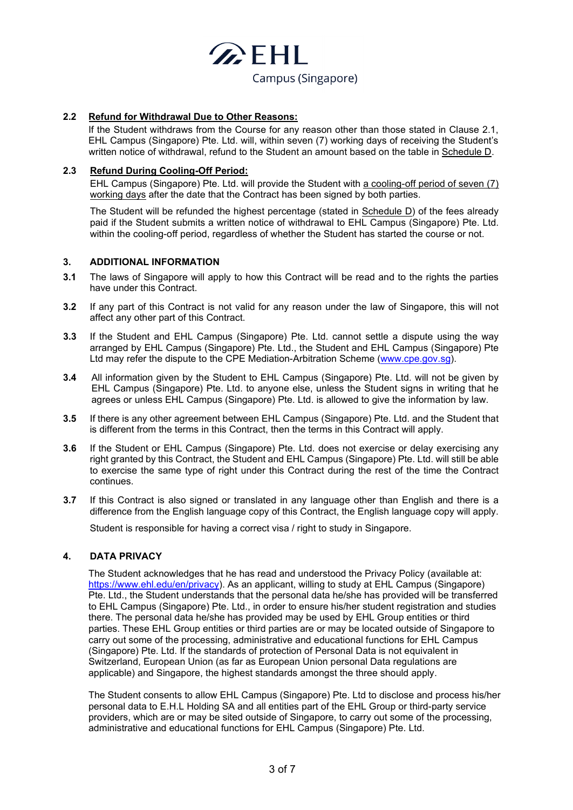

#### **2.2 Refund for Withdrawal Due to Other Reasons:**

If the Student withdraws from the Course for any reason other than those stated in Clause 2.1, EHL Campus (Singapore) Pte. Ltd. will, within seven (7) working days of receiving the Student's written notice of withdrawal, refund to the Student an amount based on the table in Schedule D.

#### **2.3 Refund During Cooling-Off Period:**

EHL Campus (Singapore) Pte. Ltd. will provide the Student with a cooling-off period of seven (7) working days after the date that the Contract has been signed by both parties.

The Student will be refunded the highest percentage (stated in Schedule D) of the fees already paid if the Student submits a written notice of withdrawal to EHL Campus (Singapore) Pte. Ltd. within the cooling-off period, regardless of whether the Student has started the course or not.

#### **3. ADDITIONAL INFORMATION**

- **3.1** The laws of Singapore will apply to how this Contract will be read and to the rights the parties have under this Contract.
- **3.2** If any part of this Contract is not valid for any reason under the law of Singapore, this will not affect any other part of this Contract.
- **3.3** If the Student and EHL Campus (Singapore) Pte. Ltd. cannot settle a dispute using the way arranged by EHL Campus (Singapore) Pte. Ltd., the Student and EHL Campus (Singapore) Pte Ltd may refer the dispute to the CPE Mediation-Arbitration Scheme [\(www.cpe.gov.sg\)](http://www.cpe.gov.sg/).
- **3.4** All information given by the Student to EHL Campus (Singapore) Pte. Ltd. will not be given by EHL Campus (Singapore) Pte. Ltd. to anyone else, unless the Student signs in writing that he agrees or unless EHL Campus (Singapore) Pte. Ltd. is allowed to give the information by law.
- **3.5** If there is any other agreement between EHL Campus (Singapore) Pte. Ltd. and the Student that is different from the terms in this Contract, then the terms in this Contract will apply.
- **3.6** If the Student or EHL Campus (Singapore) Pte. Ltd. does not exercise or delay exercising any right granted by this Contract, the Student and EHL Campus (Singapore) Pte. Ltd. will still be able to exercise the same type of right under this Contract during the rest of the time the Contract continues.
- **3.7** If this Contract is also signed or translated in any language other than English and there is a difference from the English language copy of this Contract, the English language copy will apply.

Student is responsible for having a correct visa / right to study in Singapore.

#### **4. DATA PRIVACY**

The Student acknowledges that he has read and understood the Privacy Policy (available at: [https://www.ehl.edu/en/privacy\)](https://www.ehl.edu/en/privacy). As an applicant, willing to study at EHL Campus (Singapore) Pte. Ltd., the Student understands that the personal data he/she has provided will be transferred to EHL Campus (Singapore) Pte. Ltd., in order to ensure his/her student registration and studies there. The personal data he/she has provided may be used by EHL Group entities or third parties. These EHL Group entities or third parties are or may be located outside of Singapore to carry out some of the processing, administrative and educational functions for EHL Campus (Singapore) Pte. Ltd. If the standards of protection of Personal Data is not equivalent in Switzerland, European Union (as far as European Union personal Data regulations are applicable) and Singapore, the highest standards amongst the three should apply.

The Student consents to allow EHL Campus (Singapore) Pte. Ltd to disclose and process his/her personal data to E.H.L Holding SA and all entities part of the EHL Group or third-party service providers, which are or may be sited outside of Singapore, to carry out some of the processing, administrative and educational functions for EHL Campus (Singapore) Pte. Ltd.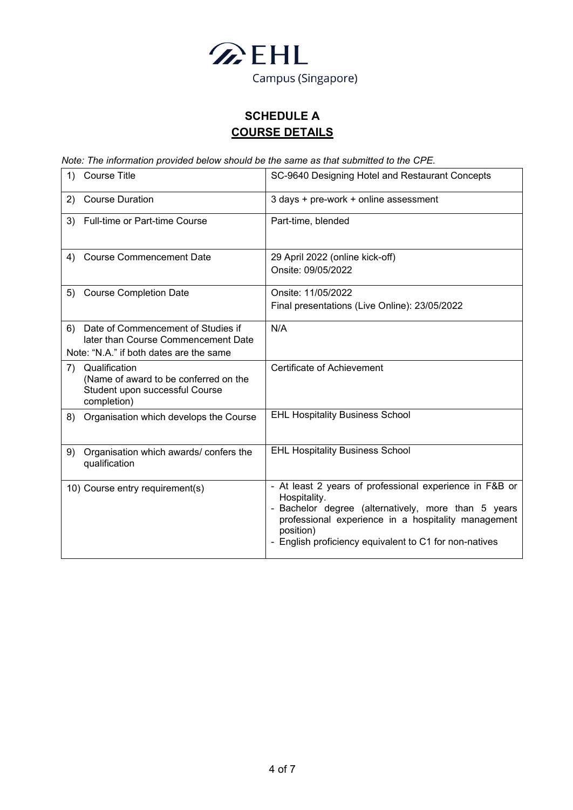

# **SCHEDULE A COURSE DETAILS**

*Note: The information provided below should be the same as that submitted to the CPE.* 

| <b>Course Title</b><br>1)                                                                                                  | SC-9640 Designing Hotel and Restaurant Concepts                                                                                                                                                                                                            |
|----------------------------------------------------------------------------------------------------------------------------|------------------------------------------------------------------------------------------------------------------------------------------------------------------------------------------------------------------------------------------------------------|
| <b>Course Duration</b><br>2)                                                                                               | 3 days + pre-work + online assessment                                                                                                                                                                                                                      |
| <b>Full-time or Part-time Course</b><br>3)                                                                                 | Part-time, blended                                                                                                                                                                                                                                         |
| <b>Course Commencement Date</b><br>4)                                                                                      | 29 April 2022 (online kick-off)<br>Onsite: 09/05/2022                                                                                                                                                                                                      |
| <b>Course Completion Date</b><br>5)                                                                                        | Onsite: 11/05/2022<br>Final presentations (Live Online): 23/05/2022                                                                                                                                                                                        |
| Date of Commencement of Studies if<br>6)<br>later than Course Commencement Date<br>Note: "N.A." if both dates are the same | N/A                                                                                                                                                                                                                                                        |
| Qualification<br>7)<br>(Name of award to be conferred on the<br>Student upon successful Course<br>completion)              | Certificate of Achievement                                                                                                                                                                                                                                 |
| Organisation which develops the Course<br>8)                                                                               | <b>EHL Hospitality Business School</b>                                                                                                                                                                                                                     |
| Organisation which awards/confers the<br>9)<br>qualification                                                               | <b>EHL Hospitality Business School</b>                                                                                                                                                                                                                     |
| 10) Course entry requirement(s)                                                                                            | - At least 2 years of professional experience in F&B or<br>Hospitality.<br>- Bachelor degree (alternatively, more than 5 years<br>professional experience in a hospitality management<br>position)<br>English proficiency equivalent to C1 for non-natives |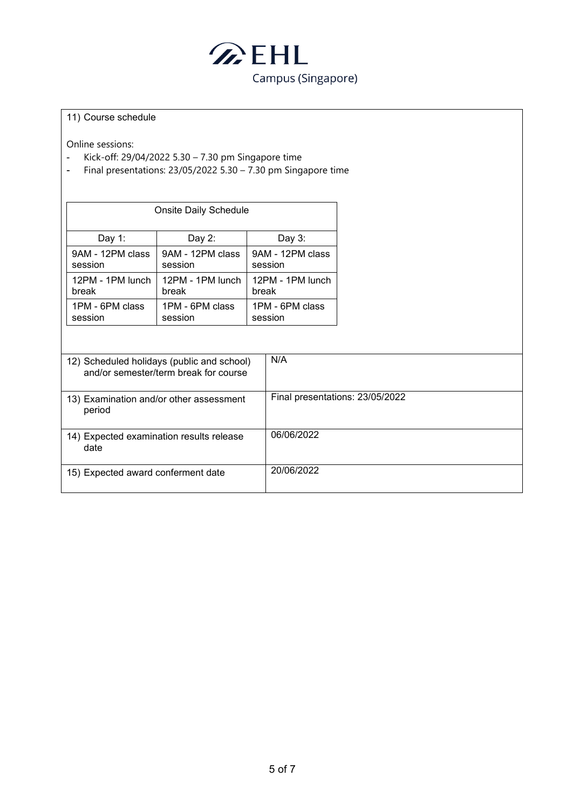

#### 11) Course schedule

Online sessions:

- Kick-off: 29/04/2022 5.30 7.30 pm Singapore time<br>- Final presentations: 23/05/2022 5.30 7.30 pm Sing
- Final presentations: 23/05/2022 5.30 7.30 pm Singapore time

| Onsite Daily Schedule |                  |                  |  |
|-----------------------|------------------|------------------|--|
| Day 1:                | Day 2:           | Day $3:$         |  |
| 9AM - 12PM class      | 9AM - 12PM class | 9AM - 12PM class |  |
| session               | session          | session          |  |
| 12PM - 1PM lunch      | 12PM - 1PM lunch | 12PM - 1PM lunch |  |
| break                 | break            | break            |  |
| 1PM - 6PM class       | 1PM - 6PM class  | 1PM - 6PM class  |  |
| session               | session          | session          |  |

| 12) Scheduled holidays (public and school)<br>and/or semester/term break for course | N/A                             |
|-------------------------------------------------------------------------------------|---------------------------------|
| 13) Examination and/or other assessment<br>period                                   | Final presentations: 23/05/2022 |
| 14) Expected examination results release<br>date                                    | 06/06/2022                      |
| 15) Expected award conferment date                                                  | 20/06/2022                      |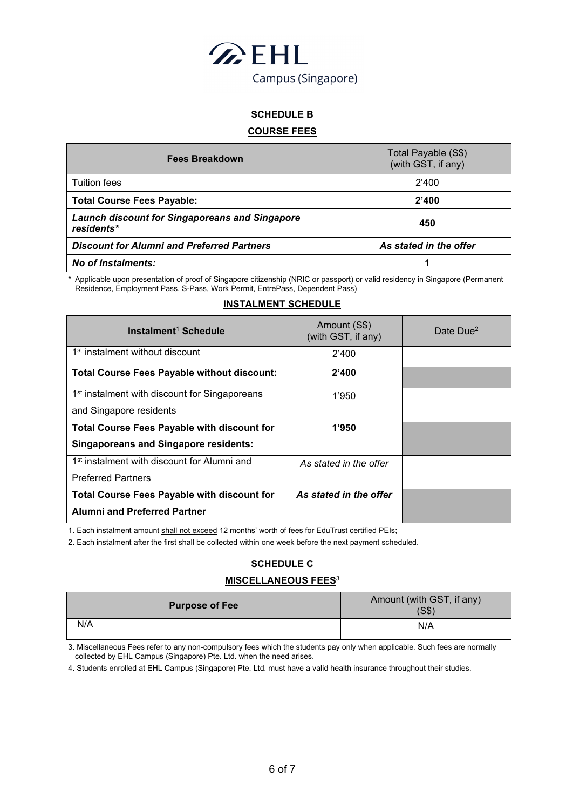

# **SCHEDULE B**

### **COURSE FEES**

| <b>Fees Breakdown</b>                                               | Total Payable (S\$)<br>(with GST, if any) |  |
|---------------------------------------------------------------------|-------------------------------------------|--|
| <b>Tuition fees</b>                                                 | 2'400                                     |  |
| <b>Total Course Fees Payable:</b>                                   | 2'400                                     |  |
| <b>Launch discount for Singaporeans and Singapore</b><br>residents* | 450                                       |  |
| <b>Discount for Alumni and Preferred Partners</b>                   | As stated in the offer                    |  |
| <b>No of Instalments:</b>                                           |                                           |  |

Applicable upon presentation of proof of Singapore citizenship (NRIC or passport) or valid residency in Singapore (Permanent Residence, Employment Pass, S-Pass, Work Permit, EntrePass, Dependent Pass)

#### **INSTALMENT SCHEDULE**

| Instalment <sup>1</sup> Schedule                          | Amount (S\$)<br>(with GST, if any) | Date Due <sup>2</sup> |
|-----------------------------------------------------------|------------------------------------|-----------------------|
| 1 <sup>st</sup> instalment without discount               | 2'400                              |                       |
| <b>Total Course Fees Payable without discount:</b>        | 2'400                              |                       |
| 1 <sup>st</sup> instalment with discount for Singaporeans | 1'950                              |                       |
| and Singapore residents                                   |                                    |                       |
| <b>Total Course Fees Payable with discount for</b>        | 1'950                              |                       |
| <b>Singaporeans and Singapore residents:</b>              |                                    |                       |
| 1 <sup>st</sup> instalment with discount for Alumni and   | As stated in the offer             |                       |
| <b>Preferred Partners</b>                                 |                                    |                       |
| <b>Total Course Fees Payable with discount for</b>        | As stated in the offer             |                       |
| <b>Alumni and Preferred Partner</b>                       |                                    |                       |

1. Each instalment amount shall not exceed 12 months' worth of fees for EduTrust certified PEIs;

2. Each instalment after the first shall be collected within one week before the next payment scheduled.

### **SCHEDULE C**

#### **MISCELLANEOUS FEES**<sup>3</sup>

| <b>Purpose of Fee</b> | Amount (with GST, if any)<br>(S\$) |
|-----------------------|------------------------------------|
| N/A                   | N/A                                |

3. Miscellaneous Fees refer to any non-compulsory fees which the students pay only when applicable. Such fees are normally collected by EHL Campus (Singapore) Pte. Ltd. when the need arises.

4. Students enrolled at EHL Campus (Singapore) Pte. Ltd. must have a valid health insurance throughout their studies.